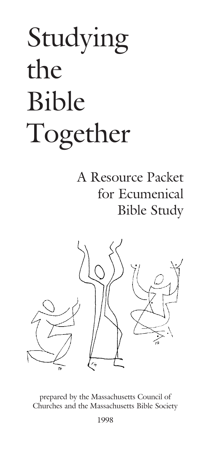# Studying the Bible Together

# A Resource Packet for Ecumenical Bible Study



prepared by the Massachusetts Council of Churches and the Massachusetts Bible Society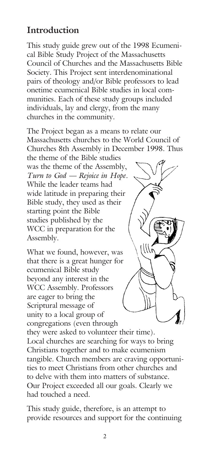# **Introduction**

This study guide grew out of the 1998 Ecumenical Bible Study Project of the Massachusetts Council of Churches and the Massachusetts Bible Society. This Project sent interdenominational pairs of theology and/or Bible professors to lead onetime ecumenical Bible studies in local communities. Each of these study groups included individuals, lay and clergy, from the many churches in the community.

The Project began as a means to relate our Massachusetts churches to the World Council of Churches 8th Assembly in December 1998. Thus

the theme of the Bible studies was the theme of the Assembly, *Turn to God — Rejoice in Hope*. While the leader teams had wide latitude in preparing their Bible study, they used as their starting point the Bible studies published by the WCC in preparation for the Assembly.

What we found, however, was that there is a great hunger for ecumenical Bible study beyond any interest in the WCC Assembly. Professors are eager to bring the Scriptural message of unity to a local group of congregations (even through



they were asked to volunteer their time). Local churches are searching for ways to bring Christians together and to make ecumenism tangible. Church members are craving opportunities to meet Christians from other churches and to delve with them into matters of substance. Our Project exceeded all our goals. Clearly we had touched a need.

This study guide, therefore, is an attempt to provide resources and support for the continuing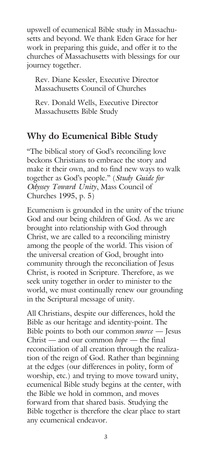upswell of ecumenical Bible study in Massachusetts and beyond. We thank Eden Grace for her work in preparing this guide, and offer it to the churches of Massachusetts with blessings for our journey together.

Rev. Diane Kessler, Executive Director Massachusetts Council of Churches

Rev. Donald Wells, Executive Director Massachusetts Bible Study

### **Why do Ecumenical Bible Study**

"The biblical story of God's reconciling love beckons Christians to embrace the story and make it their own, and to find new ways to walk together as God's people." (*Study Guide for Odyssey Toward Unity*, Mass Council of Churches 1995, p. 5)

Ecumenism is grounded in the unity of the triune God and our being children of God. As we are brought into relationship with God through Christ, we are called to a reconciling ministry among the people of the world. This vision of the universal creation of God, brought into community through the reconciliation of Jesus Christ, is rooted in Scripture. Therefore, as we seek unity together in order to minister to the world, we must continually renew our grounding in the Scriptural message of unity.

All Christians, despite our differences, hold the Bible as our heritage and identity-point. The Bible points to both our common *source* — Jesus Christ — and our common *hope* — the final reconciliation of all creation through the realization of the reign of God. Rather than beginning at the edges (our differences in polity, form of worship, etc.) and trying to move toward unity, ecumenical Bible study begins at the center, with the Bible we hold in common, and moves forward from that shared basis. Studying the Bible together is therefore the clear place to start any ecumenical endeavor.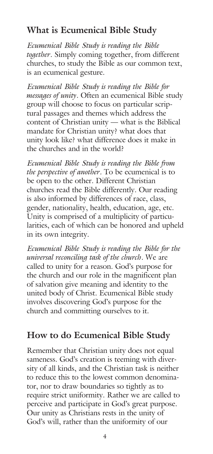# **What is Ecumenical Bible Study**

*Ecumenical Bible Study is reading the Bible together.* Simply coming together, from different churches, to study the Bible as our common text, is an ecumenical gesture.

*Ecumenical Bible Study is reading the Bible for messages of unity.* Often an ecumenical Bible study group will choose to focus on particular scriptural passages and themes which address the content of Christian unity — what is the Biblical mandate for Christian unity? what does that unity look like? what difference does it make in the churches and in the world?

*Ecumenical Bible Study is reading the Bible from the perspective of another.* To be ecumenical is to be open to the other. Different Christian churches read the Bible differently. Our reading is also informed by differences of race, class, gender, nationality, health, education, age, etc. Unity is comprised of a multiplicity of particularities, each of which can be honored and upheld in its own integrity.

*Ecumenical Bible Study is reading the Bible for the universal reconciling task of the church.* We are called to unity for a reason. God's purpose for the church and our role in the magnificent plan of salvation give meaning and identity to the united body of Christ. Ecumenical Bible study involves discovering God's purpose for the church and committing ourselves to it.

# **How to do Ecumenical Bible Study**

Remember that Christian unity does not equal sameness. God's creation is teeming with diversity of all kinds, and the Christian task is neither to reduce this to the lowest common denominator, nor to draw boundaries so tightly as to require strict uniformity. Rather we are called to perceive and participate in God's great purpose. Our unity as Christians rests in the unity of God's will, rather than the uniformity of our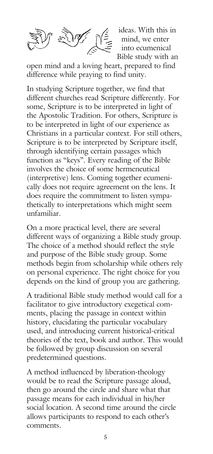

ideas. With this in mind, we enter into ecumenical Bible study with an

open mind and a loving heart, prepared to find difference while praying to find unity.

In studying Scripture together, we find that different churches read Scripture differently. For some, Scripture is to be interpreted in light of the Apostolic Tradition. For others, Scripture is to be interpreted in light of our experience as Christians in a particular context. For still others, Scripture is to be interpreted by Scripture itself, through identifying certain passages which function as "keys". Every reading of the Bible involves the choice of some hermeneutical (interpretive) lens. Coming together ecumenically does not require agreement on the lens. It does require the commitment to listen sympathetically to interpretations which might seem unfamiliar.

On a more practical level, there are several different ways of organizing a Bible study group. The choice of a method should reflect the style and purpose of the Bible study group. Some methods begin from scholarship while others rely on personal experience. The right choice for you depends on the kind of group you are gathering.

A traditional Bible study method would call for a facilitator to give introductory exegetical comments, placing the passage in context within history, elucidating the particular vocabulary used, and introducing current historical-critical theories of the text, book and author. This would be followed by group discussion on several predetermined questions.

A method influenced by liberation-theology would be to read the Scripture passage aloud, then go around the circle and share what that passage means for each individual in his/her social location. A second time around the circle allows participants to respond to each other's comments.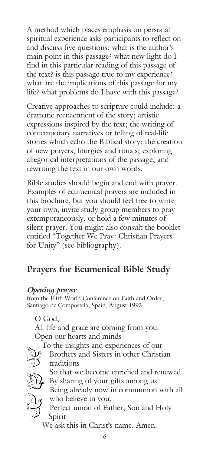A method which places emphasis on personal spiritual experience asks participants to reflect on and discuss five questions: what is the author's main point in this passage? what new light do I find in this particular reading of this passage of the text? is this passage true to my experience? what are the implications of this passage for my life? what problems do I have with this passage?

Creative approaches to scripture could include: a dramatic reenactment of the story; artistic expressions inspired by the text; the writing of contemporary narratives or telling of real-life stories which echo the Biblical story; the creation of new prayers, liturgies and rituals; exploring allegorical interpretations of the passage; and rewriting the text in our own words.

Bible studies should begin and end with prayer. Examples of ecumenical prayers are included in this brochure, but you should feel free to write your own, invite study group members to pray extemporaneously, or hold a few minutes of silent prayer. You might also consult the booklet entitled "Together We Pray: Christian Prayers for Unity" (see bibliography).

## **Prayers for Ecumenical Bible Study**

#### *Opening prayer*

from the Fifth World Conference on Faith and Order, Santiago de Compostela, Spain, August 1993

O God,

Spirit

All life and grace are coming from you. Open our hearts and minds



To the insights and experiences of our  $\mathcal{F}$  Brothers and Sisters in other Christian traditions

So that we become enriched and renewed By sharing of your gifts among us Being already now in communion with all who believe in you,

Perfect union of Father, Son and Holy

We ask this in Christ's name. Amen.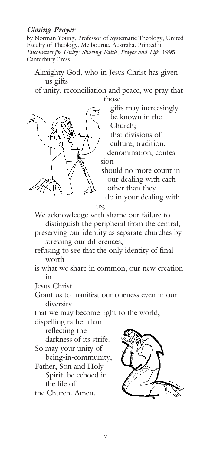#### *Closing Prayer*

by Norman Young, Professor of Systematic Theology, United Faculty of Theology, Melbourne, Australia. Printed in *Encounters for Unity: Sharing Faith, Prayer and Life*. 1995 Canterbury Press.

Almighty God, who in Jesus Christ has given us gifts

of unity, reconciliation and peace, we pray that those



gifts may increasingly be known in the Church;

that divisions of

culture, tradition,

denomination, confession

should no more count in our dealing with each other than they

do in your dealing with us;

We acknowledge with shame our failure to

distinguish the peripheral from the central,

preserving our identity as separate churches by stressing our differences,

refusing to see that the only identity of final worth

is what we share in common, our new creation in

Jesus Christ.

Grant us to manifest our oneness even in our diversity

that we may become light to the world,

dispelling rather than

reflecting the

darkness of its strife. So may your unity of

being-in-community,

Father, Son and Holy Spirit, be echoed in the life of

the Church. Amen.

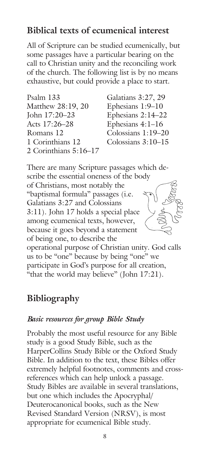# **Biblical texts of ecumenical interest**

All of Scripture can be studied ecumenically, but some passages have a particular bearing on the call to Christian unity and the reconciling work of the church. The following list is by no means exhaustive, but could provide a place to start.

| Psalm 133             | Galatians 3:27, 29   |
|-----------------------|----------------------|
| Matthew 28:19, 20     | Ephesians 1:9-10     |
| John 17:20-23         | Ephesians 2:14-22    |
| Acts 17:26-28         | Ephesians $4:1-16$   |
| Romans 12             | Colossians 1:19-20   |
| 1 Corinthians 12      | Colossians $3:10-15$ |
| 2 Corinthians 5:16-17 |                      |
|                       |                      |

There are many Scripture passages which describe the essential oneness of the body of Christians, most notably the "baptismal formula" passages (i.e. Galatians 3:27 and Colossians 3:11). John 17 holds a special place among ecumenical texts, however, because it goes beyond a statement of being one, to describe the operational purpose of Christian unity. God calls us to be "one" because by being "one" we

participate in God's purpose for all creation,

"that the world may believe" (John 17:21).

# **Bibliography**

#### *Basic resources for group Bible Study*

Probably the most useful resource for any Bible study is a good Study Bible, such as the HarperCollins Study Bible or the Oxford Study Bible. In addition to the text, these Bibles offer extremely helpful footnotes, comments and crossreferences which can help unlock a passage. Study Bibles are available in several translations, but one which includes the Apocryphal/ Deuterocanonical books, such as the New Revised Standard Version (NRSV), is most appropriate for ecumenical Bible study.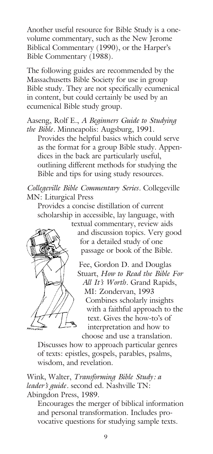Another useful resource for Bible Study is a onevolume commentary, such as the New Jerome Biblical Commentary (1990), or the Harper's Bible Commentary (1988).

The following guides are recommended by the Massachusetts Bible Society for use in group Bible study. They are not specifically ecumenical in content, but could certainly be used by an ecumenical Bible study group.

Aaseng, Rolf E., *A Beginners Guide to Studying the Bible*. Minneapolis: Augsburg, 1991.

Provides the helpful basics which could serve as the format for a group Bible study. Appendices in the back are particularly useful, outlining different methods for studying the Bible and tips for using study resources.

*Collegeville Bible Commentary Series*. Collegeville MN: Liturgical Press

Provides a concise distillation of current scholarship in accessible, lay language, with



textual commentary, review aids and discussion topics. Very good for a detailed study of one passage or book of the Bible.

Fee, Gordon D. and Douglas Stuart, *How to Read the Bible For All It's Worth*. Grand Rapids, MI: Zondervan, 1993 Combines scholarly insights with a faithful approach to the text. Gives the how-to's of interpretation and how to choose and use a translation.

Discusses how to approach particular genres of texts: epistles, gospels, parables, psalms, wisdom, and revelation.

Wink, Walter, *Transforming Bible Study: a leader's guide.* second ed. Nashville TN: Abingdon Press, 1989.

Encourages the merger of biblical information and personal transformation. Includes provocative questions for studying sample texts.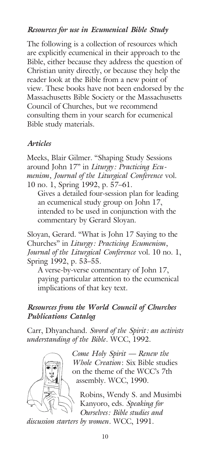#### *Resources for use in Ecumenical Bible Study*

The following is a collection of resources which are explicitly ecumenical in their approach to the Bible, either because they address the question of Christian unity directly, or because they help the reader look at the Bible from a new point of view. These books have not been endorsed by the Massachusetts Bible Society or the Massachusetts Council of Churches, but we recommend consulting them in your search for ecumenical Bible study materials.

#### *Articles*

Meeks, Blair Gilmer. "Shaping Study Sessions around John 17" in *Liturgy: Practicing Ecumenism, Journal of the Liturgical Conference* vol. 10 no. 1, Spring 1992, p. 57–61.

Gives a detailed four-session plan for leading an ecumenical study group on John 17, intended to be used in conjunction with the commentary by Gerard Sloyan.

Sloyan, Gerard. "What is John 17 Saying to the Churches" in *Liturgy: Practicing Ecumenism, Journal of the Liturgical Conference* vol. 10 no. 1, Spring 1992, p. 53–55.

A verse-by-verse commentary of John 17, paying particular attention to the ecumenical implications of that key text.

#### *Resources from the World Council of Churches Publications Catalog*

Carr, Dhyanchand. *Sword of the Spirit: an activists understanding of the Bible*. WCC, 1992.



*Come Holy Spirit — Renew the Whole Creation*: Six Bible studies on the theme of the WCC's 7th assembly. WCC, 1990.

Robins, Wendy S. and Musimbi Kanyoro, eds. *Speaking for Ourselves: Bible studies and*

*discussion starters by women*. WCC, 1991.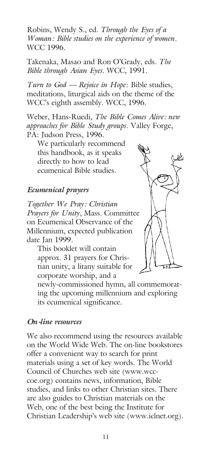Robins, Wendy S., ed. *Through the Eyes of a Woman: Bible studies on the experience of women*. WCC 1996.

Takenaka, Masao and Ron O'Grady, eds. *The Bible through Asian Eyes*. WCC, 1991.

*Turn to God — Rejoice in Hope*: Bible studies, meditations, liturgical aids on the theme of the WCC's eighth assembly. WCC, 1996.

Weber, Hans-Ruedi, *The Bible Comes Alive: new approaches for Bible Study groups*. Valley Forge, PA: Judson Press, 1996.

We particularly recommend this handbook, as it speaks directly to how to lead ecumenical Bible studies.

#### *Ecumenical prayers*

*Together We Pray: Christian Prayers for Unity*, Mass. Committee on Ecumenical Observance of the Millennium, expected publication date Jan 1999.

This booklet will contain approx. 31 prayers for Christian unity, a litany suitable for corporate worship, and a



newly-commissioned hymn, all commemorating the upcoming millennium and exploring its ecumenical significance.

#### *On-line resources*

We also recommend using the resources available on the World Wide Web. The on-line bookstores offer a convenient way to search for print materials using a set of key words. The World Council of Churches web site (www.wcccoe.org) contains news, information, Bible studies, and links to other Christian sites. There are also guides to Christian materials on the Web, one of the best being the Institute for Christian Leadership's web site (www.iclnet.org).